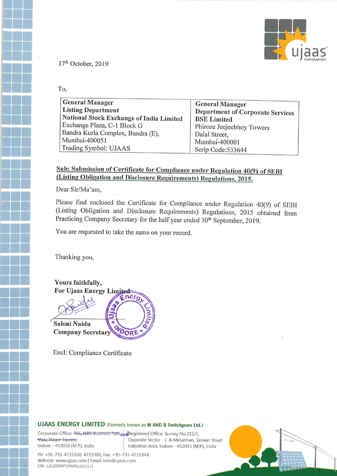

17'h October, 2019

To,

| <b>General Manager</b>                   | <b>General Manager</b>                  |
|------------------------------------------|-----------------------------------------|
| <b>Listing Department</b>                | <b>Department of Corporate Services</b> |
| National Stock Exchange of India Limited | <b>BSE</b> Limited                      |
| Exchange Plaza, C-1 Block G              | Phiroze Jeejeebhoy Towers               |
| Bandra Kurla Complex, Bandra (E),        | Dalal Street,                           |
| Mumbai-400051                            | Mumbai-400001                           |
| Trading Symbol: UJAAS                    | Scrip Code: 533644                      |

### Sub: Submission of Certificate for Compliance under Regulation 40(9) of SEBI (Listing Obligation and Disclosure Requirements) Regulations, 2015.

Dear Sir/Ma'am,

Please find enclosed the Certificate for Compliance under Regulation 40(9) of SEBI (Listing Obligation and Disclosure Requirements) Regulations, <sup>2015</sup> obtained from Practicing Company Secretary for the half year ended 30<sup>th</sup> September, 2019.

You are requested to take the same on your record.

Thanking you,

Yours faithfully, For Ujaas Energy Li ' Saloni Naidu **Company Secretary** 

Encl: Compliance Certificate

#### UJAAS ENERGY LIMITED (Formerly known as M AND B Switchgears Ltd.)

Wijay Nagar Square,-Indore - 452010 (M.P.), India

Corporate Office: 701, NRK Business Park and Registered Office: Survey No.211/1, Opposite Sector - C & Metalman, Sanwer Road 452010 (M.P.), India Industrial Area, Indore - 452015 (M.P.), India

Phi +91—731—4715330, 4715300, Fax: +91—731—4715344 Website: www.ujaas.com | Email: info@ujaas.com CIN : L31200MF1999PLC013571